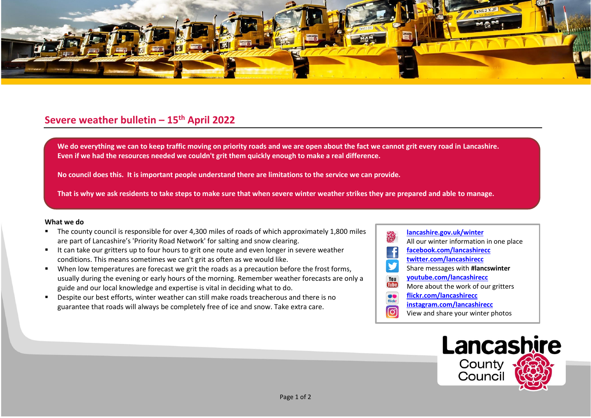

## **Severe weather bulletin – 15th April 2022**

We do everything we can to keep traffic moving on priority roads and we are open about the fact we cannot grit every road in Lancashire. **Even if we had the resources needed we couldn't grit them quickly enough to make a real difference.**

**No council does this. It is important people understand there are limitations to the service we can provide.**

**That is why we ask residents to take steps to make sure that when severe winter weather strikes they are prepared and able to manage.**

## **What we do**

- The county council is responsible for over 4,300 miles of roads of which approximately 1,800 miles are part of Lancashire's 'Priority Road Network' for salting and snow clearing.
- It can take our gritters up to four hours to grit one route and even longer in severe weather conditions. This means sometimes we can't grit as often as we would like.
- When low temperatures are forecast we grit the roads as a precaution before the frost forms, usually during the evening or early hours of the morning. Remember weather forecasts are only a guide and our local knowledge and expertise is vital in deciding what to do.
- Despite our best efforts, winter weather can still make roads treacherous and there is no guarantee that roads will always be completely free of ice and snow. Take extra care.
- **[lancashire.gov.uk/winter](http://www.lancashire.gov.uk/winter)** All our winter information in one place **[facebook.com/lancashirecc](http://www.facebook.com/lancashirecc) [twitter.com/lancashirecc](http://www.twitter.com/lancashirecc)** y Share messages with **#lancswinter [youtube.com/lancashirecc](http://www.youtube.com/lancashirecc)** You **Tilte** More about the work of our gritters  $\bullet$ **[flickr.com/lancashirecc](http://www.flickr.com/lancashirecc)** flickr **[instagram.com/lancashirecc](http://www.instagram.com/lancashirecc)** [O] View and share your winter photos